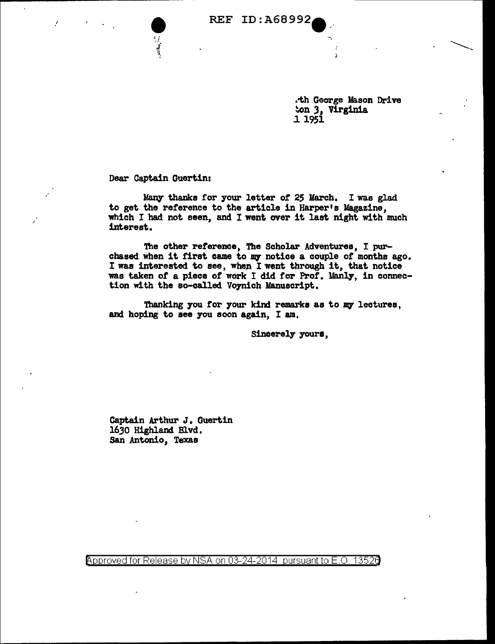**• REF ID: A68992** 

.-th George Mason Drive ~on .3, Virginia .11951

 $\overbrace{\phantom{aaaa}}$ 

Dear Captain Guertin:

.'

,'

*11.8111'* thanks for your letter *ot* 25 March. I was glad to get the reference to the article in Harper's Magazine, which I had not seen, and I went over it last night with much interest.

The other reference, The Scholar Adventures, I purchased when it first came to my notice a couple of months ago. I was interested to see, when I went through it, that notice was taken of a piece of work I did for Prof. Manly, in connection with the so-called Voynich Manuscript.

Thanking you for your kind remarks as to my lectures, and hoping to see you soon again, I am,

Sincerely yours,

Captain Arthur J. Guertin 1630 Highland Blvd. San Antonio, Texas

Approved for Release by NSA on 03-24-2014 pursuant to E.O. 13526